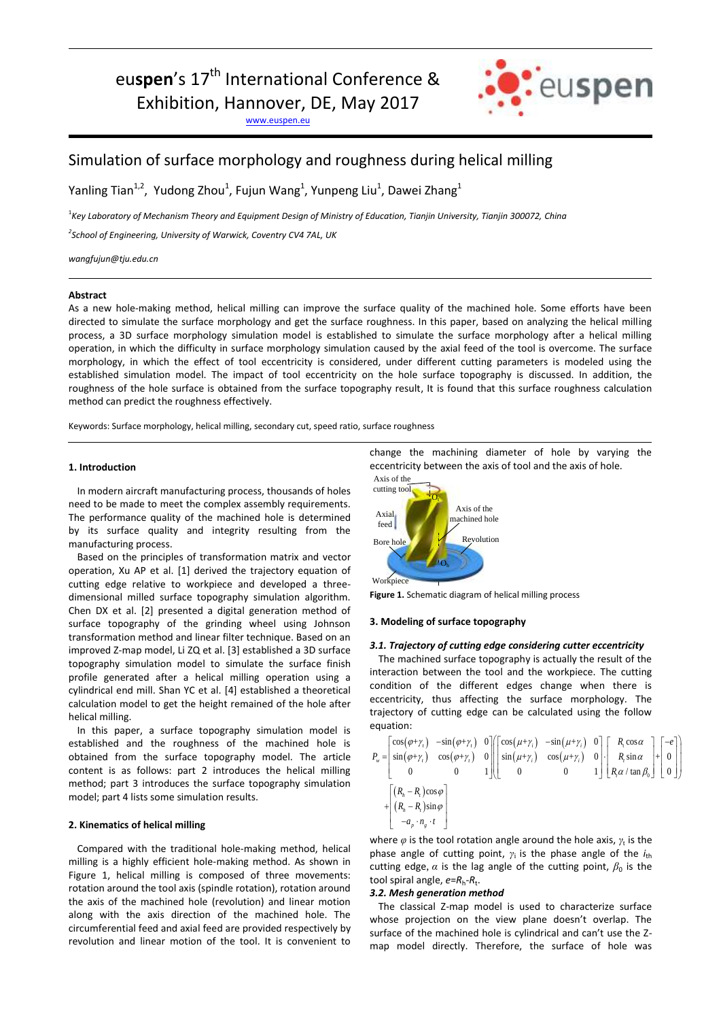# eu**spen**'s 17<sup>th</sup> International Conference &

Exhibition, Hannover, DE, May 2017

[www.euspen.eu](http://www.euspen.eu/)



## Simulation of surface morphology and roughness during helical milling

Yanling Tian<sup>1,2</sup>, Yudong Zhou<sup>1</sup>, Fujun Wang<sup>1</sup>, Yunpeng Liu<sup>1</sup>, Dawei Zhang<sup>1</sup>

<sup>1</sup> Key Laboratory of Mechanism Theory and Equipment Design of Ministry of Education, Tianjin University, Tianjin 300072, China

*2 School of Engineering, University of Warwick, Coventry CV4 7AL, UK*

*wangfujun@tju.edu.cn*

#### **Abstract**

As a new hole-making method, helical milling can improve the surface quality of the machined hole. Some efforts have been directed to simulate the surface morphology and get the surface roughness. In this paper, based on analyzing the helical milling process, a 3D surface morphology simulation model is established to simulate the surface morphology after a helical milling operation, in which the difficulty in surface morphology simulation caused by the axial feed of the tool is overcome. The surface morphology, in which the effect of tool eccentricity is considered, under different cutting parameters is modeled using the established simulation model. The impact of tool eccentricity on the hole surface topography is discussed. In addition, the roughness of the hole surface is obtained from the surface topography result, It is found that this surface roughness calculation method can predict the roughness effectively.

Keywords: Surface morphology, helical milling, secondary cut, speed ratio, surface roughness

#### **1. Introduction**

In modern aircraft manufacturing process, thousands of holes need to be made to meet the complex assembly requirements. The performance quality of the machined hole is determined by its surface quality and integrity resulting from the manufacturing process.

Based on the principles of transformation matrix and vector operation, Xu AP et al. [1] derived the trajectory equation of cutting edge relative to workpiece and developed a threedimensional milled surface topography simulation algorithm. Chen DX et al. [2] presented a digital generation method of surface topography of the grinding wheel using Johnson transformation method and linear filter technique. Based on an improved Z-map model, Li ZQ et al. [3] established a 3D surface topography simulation model to simulate the surface finish profile generated after a helical milling operation using a cylindrical end mill. Shan YC et al. [4] established a theoretical calculation model to get the height remained of the hole after helical milling.

In this paper, a surface topography simulation model is established and the roughness of the machined hole is obtained from the surface topography model. The article content is as follows: part 2 introduces the helical milling method; part 3 introduces the surface topography simulation model; part 4 lists some simulation results.

#### **2. Kinematics of helical milling**

Compared with the traditional hole-making method, helical milling is a highly efficient hole-making method. As shown in Figure 1, helical milling is composed of three movements: rotation around the tool axis (spindle rotation), rotation around the axis of the machined hole (revolution) and linear motion along with the axis direction of the machined hole. The circumferential feed and axial feed are provided respectively by revolution and linear motion of the tool. It is convenient to change the machining diameter of hole by varying the eccentricity between the axis of tool and the axis of hole.



**Figure 1.** Schematic diagram of helical milling process

#### **3. Modeling of surface topography**

### *3.1. Trajectory of cutting edge considering cutter eccentricity*

The machined surface topography is actually the result of the interaction between the tool and the workpiece. The cutting condition of the different edges change when there is eccentricity, thus affecting the surface morphology. The trajectory of cutting edge can be calculated using the follow equation:

equation:  
\n
$$
P_w = \begin{bmatrix}\n\cos(\varphi + \gamma_t) & -\sin(\varphi + \gamma_t) & 0 \\
\sin(\varphi + \gamma_t) & \cos(\varphi + \gamma_t) & 0 \\
0 & 0 & 1\n\end{bmatrix}\n\begin{bmatrix}\n\cos(\mu + \gamma_t) & -\sin(\mu + \gamma_t) & 0 \\
\sin(\mu + \gamma_t) & \cos(\mu + \gamma_t) & 0 \\
0 & 0 & 1\n\end{bmatrix}\n\begin{bmatrix}\nR_t \cos \alpha \\
R_t \sin \alpha \\
R_t \sin \beta\n\end{bmatrix} + \begin{bmatrix}\n-\frac{e}{\omega} \\
0 \\
0\n\end{bmatrix}
$$
\n
$$
+ \begin{bmatrix}\n(R_h - R_t) \cos \varphi \\
(R_h - R_t) \sin \varphi \\
-a_\rho \cdot n_s \cdot t\n\end{bmatrix}
$$

where  $\varphi$  is the tool rotation angle around the hole axis,  $\gamma_t$  is the phase angle of cutting point,  $γ_i$  is the phase angle of the *i*<sub>th</sub> cutting edge,  $\alpha$  is the lag angle of the cutting point,  $\beta_0$  is the tool spiral angle,  $e = R_h - R_t$ .

#### *3.2. Mesh generation method*

The classical Z-map model is used to characterize surface whose projection on the view plane doesn't overlap. The surface of the machined hole is cylindrical and can't use the Zmap model directly. Therefore, the surface of hole was